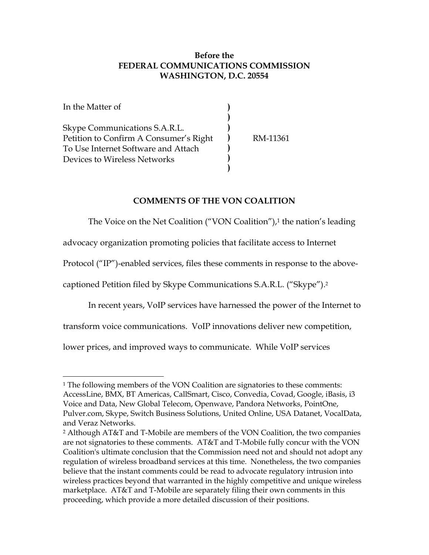## **Before the FEDERAL COMMUNICATIONS COMMISSION WASHINGTON, D.C. 20554**

| In the Matter of                       |          |
|----------------------------------------|----------|
|                                        |          |
| Skype Communications S.A.R.L.          |          |
| Petition to Confirm A Consumer's Right | RM-11361 |
| To Use Internet Software and Attach    |          |
| Devices to Wireless Networks           |          |
|                                        |          |

### **COMMENTS OF THE VON COALITION**

The Voice on the Net Coalition ("VON Coalition"), $1$  the nation's leading

advocacy organization promoting policies that facilitate access to Internet

Protocol ("IP")-enabled services, files these comments in response to the above-

captioned Petition filed by Skype Communications S.A.R.L. ("Skype").[2](#page-0-1)

In recent years, VoIP services have harnessed the power of the Internet to

transform voice communications. VoIP innovations deliver new competition,

lower prices, and improved ways to communicate. While VoIP services

<span id="page-0-0"></span>l <sup>1</sup> The following members of the VON Coalition are signatories to these comments: AccessLine, BMX, BT Americas, CallSmart, Cisco, Convedia, Covad, Google, iBasis, i3 Voice and Data, New Global Telecom, Openwave, Pandora Networks, PointOne, Pulver.com, Skype, Switch Business Solutions, United Online, USA Datanet, VocalData, and Veraz Networks.

<span id="page-0-1"></span><sup>2</sup> Although AT&T and T-Mobile are members of the VON Coalition, the two companies are not signatories to these comments. AT&T and T-Mobile fully concur with the VON Coalition's ultimate conclusion that the Commission need not and should not adopt any regulation of wireless broadband services at this time. Nonetheless, the two companies believe that the instant comments could be read to advocate regulatory intrusion into wireless practices beyond that warranted in the highly competitive and unique wireless marketplace. AT&T and T-Mobile are separately filing their own comments in this proceeding, which provide a more detailed discussion of their positions.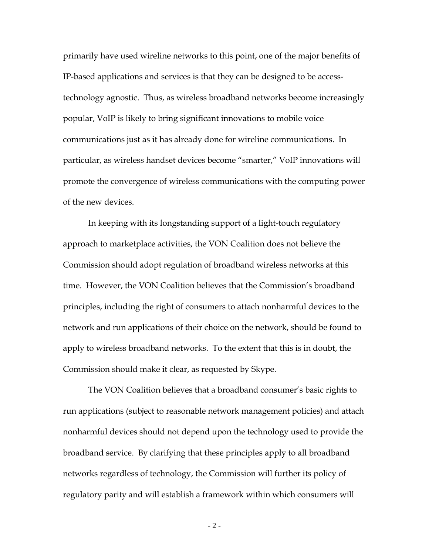primarily have used wireline networks to this point, one of the major benefits of IP-based applications and services is that they can be designed to be accesstechnology agnostic. Thus, as wireless broadband networks become increasingly popular, VoIP is likely to bring significant innovations to mobile voice communications just as it has already done for wireline communications. In particular, as wireless handset devices become "smarter," VoIP innovations will promote the convergence of wireless communications with the computing power of the new devices.

In keeping with its longstanding support of a light-touch regulatory approach to marketplace activities, the VON Coalition does not believe the Commission should adopt regulation of broadband wireless networks at this time. However, the VON Coalition believes that the Commission's broadband principles, including the right of consumers to attach nonharmful devices to the network and run applications of their choice on the network, should be found to apply to wireless broadband networks. To the extent that this is in doubt, the Commission should make it clear, as requested by Skype.

The VON Coalition believes that a broadband consumer's basic rights to run applications (subject to reasonable network management policies) and attach nonharmful devices should not depend upon the technology used to provide the broadband service. By clarifying that these principles apply to all broadband networks regardless of technology, the Commission will further its policy of regulatory parity and will establish a framework within which consumers will

- 2 -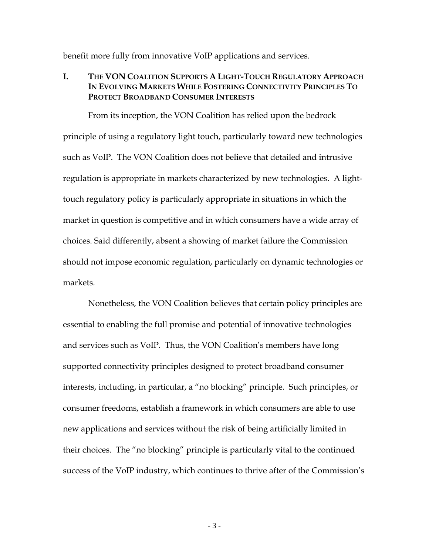benefit more fully from innovative VoIP applications and services.

### **I. THE VON COALITION SUPPORTS A LIGHT-TOUCH REGULATORY APPROACH IN EVOLVING MARKETS WHILE FOSTERING CONNECTIVITY PRINCIPLES TO PROTECT BROADBAND CONSUMER INTERESTS**

From its inception, the VON Coalition has relied upon the bedrock principle of using a regulatory light touch, particularly toward new technologies such as VoIP. The VON Coalition does not believe that detailed and intrusive regulation is appropriate in markets characterized by new technologies. A lighttouch regulatory policy is particularly appropriate in situations in which the market in question is competitive and in which consumers have a wide array of choices. Said differently, absent a showing of market failure the Commission should not impose economic regulation, particularly on dynamic technologies or markets.

Nonetheless, the VON Coalition believes that certain policy principles are essential to enabling the full promise and potential of innovative technologies and services such as VoIP. Thus, the VON Coalition's members have long supported connectivity principles designed to protect broadband consumer interests, including, in particular, a "no blocking" principle. Such principles, or consumer freedoms, establish a framework in which consumers are able to use new applications and services without the risk of being artificially limited in their choices. The "no blocking" principle is particularly vital to the continued success of the VoIP industry, which continues to thrive after of the Commission's

- 3 -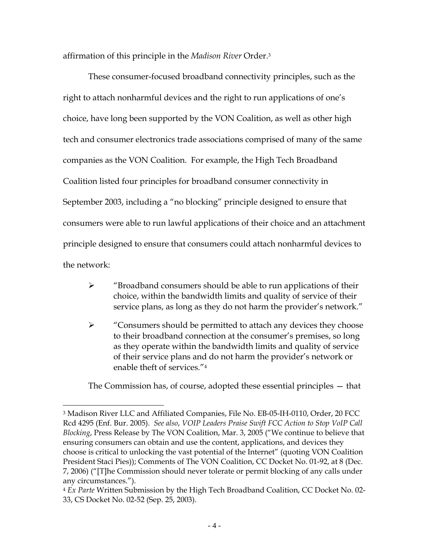affirmation of this principle in the *Madison River* Order.[3](#page-3-0)

These consumer-focused broadband connectivity principles, such as the right to attach nonharmful devices and the right to run applications of one's choice, have long been supported by the VON Coalition, as well as other high tech and consumer electronics trade associations comprised of many of the same companies as the VON Coalition. For example, the High Tech Broadband Coalition listed four principles for broadband consumer connectivity in September 2003, including a "no blocking" principle designed to ensure that consumers were able to run lawful applications of their choice and an attachment principle designed to ensure that consumers could attach nonharmful devices to the network:

- $\triangleright$  "Broadband consumers should be able to run applications of their choice, within the bandwidth limits and quality of service of their service plans, as long as they do not harm the provider's network."
- ¾ "Consumers should be permitted to attach any devices they choose to their broadband connection at the consumer's premises, so long as they operate within the bandwidth limits and quality of service of their service plans and do not harm the provider's network or enable theft of services."[4](#page-3-1)

The Commission has, of course, adopted these essential principles — that

<span id="page-3-0"></span><sup>3</sup> Madison River LLC and Affiliated Companies, File No. EB-05-IH-0110, Order, 20 FCC Rcd 4295 (Enf. Bur. 2005). *See also*, *VOIP Leaders Praise Swift FCC Action to Stop VoIP Call Blocking*, Press Release by The VON Coalition, Mar. 3, 2005 ("We continue to believe that ensuring consumers can obtain and use the content, applications, and devices they choose is critical to unlocking the vast potential of the Internet" (quoting VON Coalition President Staci Pies)); Comments of The VON Coalition, CC Docket No. 01-92, at 8 (Dec. 7, 2006) ("[T]he Commission should never tolerate or permit blocking of any calls under any circumstances.").

<span id="page-3-1"></span><sup>4</sup> *Ex Parte* Written Submission by the High Tech Broadband Coalition, CC Docket No. 02- 33, CS Docket No. 02-52 (Sep. 25, 2003).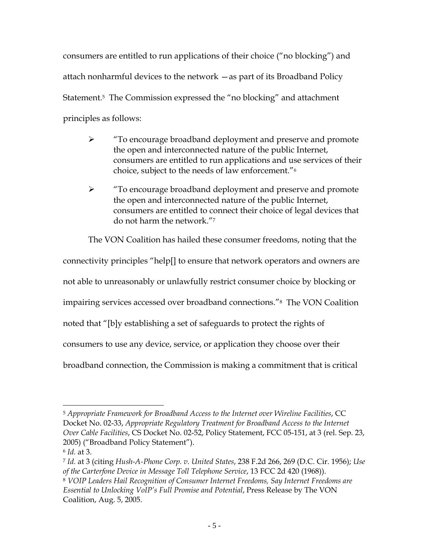consumers are entitled to run applications of their choice ("no blocking") and attach nonharmful devices to the network —as part of its Broadband Policy Statement.<sup>5</sup> The Commission expressed the "no blocking" and attachment principles as follows:

- ¾ "To encourage broadband deployment and preserve and promote the open and interconnected nature of the public Internet, consumers are entitled to run applications and use services of their choice, subject to the needs of law enforcement."[6](#page-4-1)
- ¾ "To encourage broadband deployment and preserve and promote the open and interconnected nature of the public Internet, consumers are entitled to connect their choice of legal devices that do not harm the network."[7](#page-4-2)

The VON Coalition has hailed these consumer freedoms, noting that the

connectivity principles "help[] to ensure that network operators and owners are

not able to unreasonably or unlawfully restrict consumer choice by blocking or

impairing services accessed over broadband connections."[8](#page-4-3) The VON Coalition

noted that "[b]y establishing a set of safeguards to protect the rights of

consumers to use any device, service, or application they choose over their

broadband connection, the Commission is making a commitment that is critical

<span id="page-4-0"></span>l <sup>5</sup> *Appropriate Framework for Broadband Access to the Internet over Wireline Facilities*, CC Docket No. 02-33, *Appropriate Regulatory Treatment for Broadband Access to the Internet Over Cable Facilities*, CS Docket No. 02-52, Policy Statement, FCC 05-151, at 3 (rel. Sep. 23, 2005) ("Broadband Policy Statement").

<span id="page-4-1"></span><sup>6</sup> *Id.* at 3.

<span id="page-4-3"></span><span id="page-4-2"></span><sup>7</sup> *Id.* at 3 (citing *Hush-A-Phone Corp. v. United States*, 238 F.2d 266, 269 (D.C. Cir. 1956); *Use of the Carterfone Device in Message Toll Telephone Service*, 13 FCC 2d 420 (1968)). <sup>8</sup> *VOIP Leaders Hail Recognition of Consumer Internet Freedoms, Say Internet Freedoms are Essential to Unlocking VoIP's Full Promise and Potential*, Press Release by The VON Coalition, Aug. 5, 2005.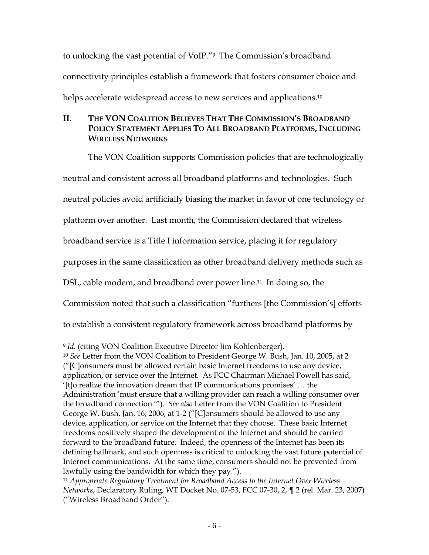to unlocking the vast potential of VoIP."[9](#page-5-0) The Commission's broadband connectivity principles establish a framework that fosters consumer choice and helps accelerate widespread access to new services and applications.<sup>10</sup>

# **II. THE VON COALITION BELIEVES THAT THE COMMISSION'S BROADBAND POLICY STATEMENT APPLIES TO ALL BROADBAND PLATFORMS, INCLUDING WIRELESS NETWORKS**

The VON Coalition supports Commission policies that are technologically neutral and consistent across all broadband platforms and technologies. Such neutral policies avoid artificially biasing the market in favor of one technology or platform over another. Last month, the Commission declared that wireless broadband service is a Title I information service, placing it for regulatory purposes in the same classification as other broadband delivery methods such as DSL, cable modem, and broadband over power line.<sup>11</sup> In doing so, the Commission noted that such a classification "furthers [the Commission's] efforts to establish a consistent regulatory framework across broadband platforms by

<span id="page-5-0"></span>l <sup>9</sup> *Id.* (citing VON Coalition Executive Director Jim Kohlenberger).

<span id="page-5-1"></span><sup>10</sup> *See* Letter from the VON Coalition to President George W. Bush, Jan. 10, 2005, at 2 ("[C]onsumers must be allowed certain basic Internet freedoms to use any device, application, or service over the Internet. As FCC Chairman Michael Powell has said, '[t]o realize the innovation dream that IP communications promises' … the Administration 'must ensure that a willing provider can reach a willing consumer over the broadband connection.'"). *See also* Letter from the VON Coalition to President George W. Bush, Jan. 16, 2006, at 1-2 ("[C]onsumers should be allowed to use any device, application, or service on the Internet that they choose. These basic Internet freedoms positively shaped the development of the Internet and should be carried forward to the broadband future. Indeed, the openness of the Internet has been its defining hallmark, and such openness is critical to unlocking the vast future potential of Internet communications. At the same time, consumers should not be prevented from lawfully using the bandwidth for which they pay.").

<span id="page-5-2"></span><sup>11</sup> *Appropriate Regulatory Treatment for Broadband Access to the Internet Over Wireless Networks*, Declaratory Ruling, WT Docket No. 07-53, FCC 07-30, 2, ¶ 2 (rel. Mar. 23, 2007) ("Wireless Broadband Order").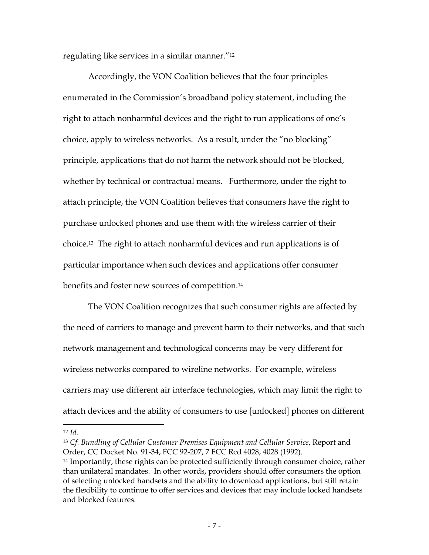regulating like services in a similar manner."[12](#page-6-0)

Accordingly, the VON Coalition believes that the four principles enumerated in the Commission's broadband policy statement, including the right to attach nonharmful devices and the right to run applications of one's choice, apply to wireless networks. As a result, under the "no blocking" principle, applications that do not harm the network should not be blocked, whether by technical or contractual means. Furthermore, under the right to attach principle, the VON Coalition believes that consumers have the right to purchase unlocked phones and use them with the wireless carrier of their choice.[13](#page-6-1) The right to attach nonharmful devices and run applications is of particular importance when such devices and applications offer consumer benefits and foster new sources of competition.[14](#page-6-2)

The VON Coalition recognizes that such consumer rights are affected by the need of carriers to manage and prevent harm to their networks, and that such network management and technological concerns may be very different for wireless networks compared to wireline networks. For example, wireless carriers may use different air interface technologies, which may limit the right to attach devices and the ability of consumers to use [unlocked] phones on different

<span id="page-6-0"></span><sup>12</sup> *Id.*

<span id="page-6-1"></span><sup>13</sup> *Cf. Bundling of Cellular Customer Premises Equipment and Cellular Service*, Report and Order, CC Docket No. 91-34, FCC 92-207, 7 FCC Rcd 4028, 4028 (1992).

<span id="page-6-2"></span><sup>&</sup>lt;sup>14</sup> Importantly, these rights can be protected sufficiently through consumer choice, rather than unilateral mandates. In other words, providers should offer consumers the option of selecting unlocked handsets and the ability to download applications, but still retain the flexibility to continue to offer services and devices that may include locked handsets and blocked features.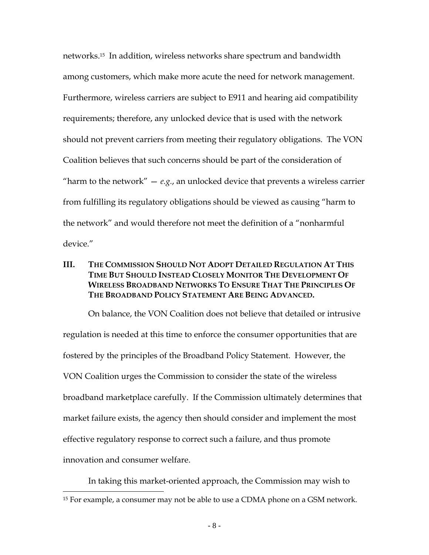networks.[15](#page-7-0) In addition, wireless networks share spectrum and bandwidth among customers, which make more acute the need for network management. Furthermore, wireless carriers are subject to E911 and hearing aid compatibility requirements; therefore, any unlocked device that is used with the network should not prevent carriers from meeting their regulatory obligations. The VON Coalition believes that such concerns should be part of the consideration of "harm to the network"  $-e.g.,$  an unlocked device that prevents a wireless carrier from fulfilling its regulatory obligations should be viewed as causing "harm to the network" and would therefore not meet the definition of a "nonharmful device."

## **III. THE COMMISSION SHOULD NOT ADOPT DETAILED REGULATION AT THIS TIME BUT SHOULD INSTEAD CLOSELY MONITOR THE DEVELOPMENT OF WIRELESS BROADBAND NETWORKS TO ENSURE THAT THE PRINCIPLES OF THE BROADBAND POLICY STATEMENT ARE BEING ADVANCED.**

On balance, the VON Coalition does not believe that detailed or intrusive regulation is needed at this time to enforce the consumer opportunities that are fostered by the principles of the Broadband Policy Statement. However, the VON Coalition urges the Commission to consider the state of the wireless broadband marketplace carefully. If the Commission ultimately determines that market failure exists, the agency then should consider and implement the most effective regulatory response to correct such a failure, and thus promote innovation and consumer welfare.

In taking this market-oriented approach, the Commission may wish to

<span id="page-7-0"></span><sup>&</sup>lt;sup>15</sup> For example, a consumer may not be able to use a CDMA phone on a GSM network.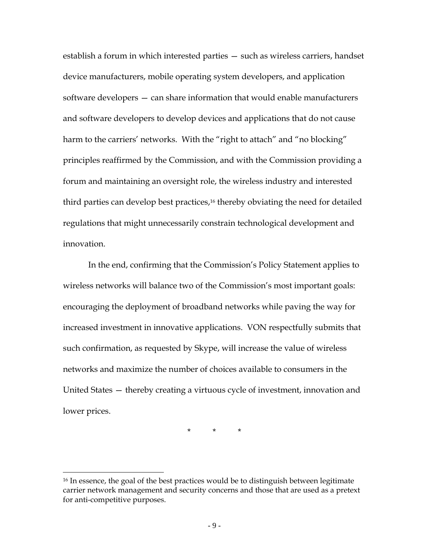establish a forum in which interested parties — such as wireless carriers, handset device manufacturers, mobile operating system developers, and application software developers — can share information that would enable manufacturers and software developers to develop devices and applications that do not cause harm to the carriers' networks. With the "right to attach" and "no blocking" principles reaffirmed by the Commission, and with the Commission providing a forum and maintaining an oversight role, the wireless industry and interested third parties can develop best practices[,16](#page-8-0) thereby obviating the need for detailed regulations that might unnecessarily constrain technological development and innovation.

In the end, confirming that the Commission's Policy Statement applies to wireless networks will balance two of the Commission's most important goals: encouraging the deployment of broadband networks while paving the way for increased investment in innovative applications. VON respectfully submits that such confirmation, as requested by Skype, will increase the value of wireless networks and maximize the number of choices available to consumers in the United States — thereby creating a virtuous cycle of investment, innovation and lower prices.

\* \* \*

<span id="page-8-0"></span><sup>&</sup>lt;sup>16</sup> In essence, the goal of the best practices would be to distinguish between legitimate carrier network management and security concerns and those that are used as a pretext for anti-competitive purposes.